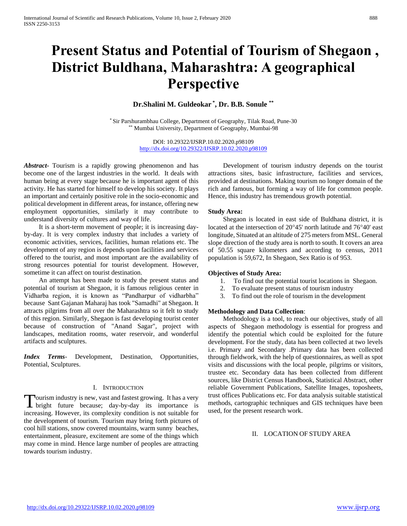# **Present Status and Potential of Tourism of Shegaon , District Buldhana, Maharashtra: A geographical Perspective**

**Dr.Shalini M. Guldeokar \* , Dr. B.B. Sonule \*\***

\* Sir Parshurambhau College, Department of Geography, Tilak Road, Pune-30 \*\* Mumbai University, Department of Geography, Mumbai-98

> DOI: 10.29322/IJSRP.10.02.2020.p98109 <http://dx.doi.org/10.29322/IJSRP.10.02.2020.p98109>

*Abstract***-** Tourism is a rapidly growing phenomenon and has become one of the largest industries in the world. It deals with human being at every stage because he is important agent of this activity. He has started for himself to develop his society. It plays an important and certainly positive role in the socio-economic and political development in different areas, for instance, offering new employment opportunities, similarly it may contribute to understand diversity of cultures and way of life.

 It is a short-term movement of people; it is increasing dayby-day. It is very complex industry that includes a variety of economic activities, services, facilities, human relations etc. The development of any region is depends upon facilities and services offered to the tourist, and most important are the availability of strong resources potential for tourist development. However, sometime it can affect on tourist destination.

 An attempt has been made to study the present status and potential of tourism at Shegaon, it is famous religious center in Vidharba region, it is known as "Pandharpur of vidharbha" because Sant Gajanan Maharaj has took "Samadhi" at Shegaon. It attracts pilgrims from all over the Maharashtra so it felt to study of this region. Similarly, Shegaon is fast developing tourist center because of construction of "Anand Sagar", project with landscapes, meditation rooms, water reservoir, and wonderful artifacts and sculptures.

*Index Terms*- Development, Destination, Opportunities, Potential, Sculptures.

# I. INTRODUCTION

ourism industry is new, vast and fastest growing. It has a very Tourism industry is new, vast and fastest growing. It has a very<br>bright future because; day-by-day its importance is increasing. However, its complexity condition is not suitable for the development of tourism. Tourism may bring forth pictures of cool hill stations, snow covered mountains, warm sunny beaches, entertainment, pleasure, excitement are some of the things which may come in mind. Hence large number of peoples are attracting towards tourism industry.

 Development of tourism industry depends on the tourist attractions sites, basic infrastructure, facilities and services, provided at destinations. Making tourism no longer domain of the rich and famous, but forming a way of life for common people. Hence, this industry has tremendous growth potential.

### **Study Area:**

 Shegaon is located in east side of Buldhana district, it is located at the intersection of  $20^{\circ}45'$  north latitude and  $76^{\circ}40'$  east longitude, Situated at an altitude of 275 meters from MSL. General slope direction of the study area is north to south. It covers an area of 50.55 square kilometers and according to census, 2011 population is 59,672, In Shegaon, Sex Ratio is of 953.

#### **Objectives of Study Area:**

- 1. To find out the potential tourist locations in Shegaon.
- 2. To evaluate present status of tourism industry
- 3. To find out the role of tourism in the development

# **Methodology and Data Collection**:

 Methodology is a tool, to reach our objectives, study of all aspects of Shegaon methodology is essential for progress and identify the potential which could be exploited for the future development. For the study, data has been collected at two levels i.e. Primary and Secondary .Primary data has been collected through fieldwork, with the help of questionnaires, as well as spot visits and discussions with the local people, pilgrims or visitors, trustee etc. Secondary data has been collected from different sources, like District Census Handbook, Statistical Abstract, other reliable Government Publications, Satellite Images, toposheets, trust offices Publications etc. For data analysis suitable statistical methods, cartographic techniques and GIS techniques have been used, for the present research work.

## II. LOCATION OF STUDY AREA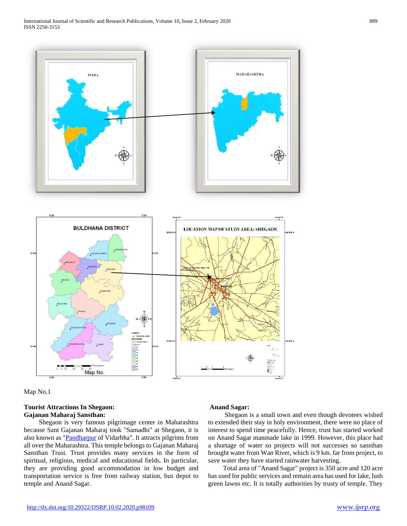

Map No.1

# **Tourist Attractions In Shegaon: Gajanan Maharaj Sansthan:**

 Shegaon is very famous pilgrimage center in Maharashtra because Sant Gajanan Maharaj took "Samadhi" at Shegaon, it is also known as ["Pandharpur](http://www.worldlingo.com/ma/enwiki/en/Pandharpur) of Vidarbha". It attracts pilgrims from all over the Maharashtra. This temple belongs to Gajanan Maharaj Sansthan Trust. Trust provides many services in the form of spiritual, religious, medical and educational fields. In particular, they are providing good accommodation in low budget and transportation service is free from railway station, bus depot to temple and Anand Sagar.

#### **Anand Sagar:**

 Shegaon is a small town and even though devotees wished to extended their stay in holy environment, there were no place of interest to spend time peacefully. Hence, trust has started worked on Anand Sagar manmade lake in 1999. However, this place had a shortage of water so projects will not successes so sansthan brought water from Wan River, which is 9 km. far from project, to save water they have started rainwater harvesting.

 Total area of "Anand Sagar" project is 350 acre and 120 acre has used for public services and remain area has used for lake, lush green lawns etc. It is totally authorities by trusty of temple. They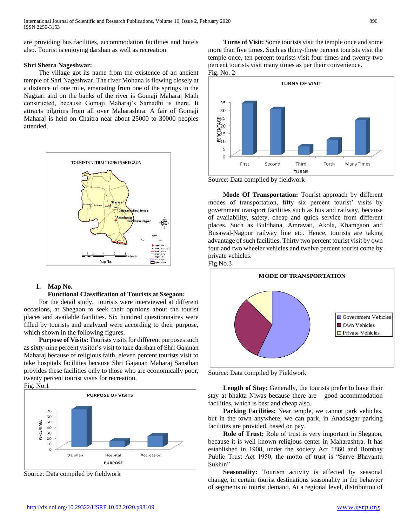are providing bus facilities, accommodation facilities and hotels also. Tourist is enjoying darshan as well as recreation.

# **Shri Shetra Nageshwar:**

 The village got its name from the existence of an ancient temple of Shri Nageshwar. The river Mohana is flowing closely at a distance of one mile, emanating from one of the springs in the Nagzari and on the banks of the river is Gomaji Maharaj Math constructed, because Gomaji Maharaj's Samadhi is there. It attracts pilgrims from all over Maharashtra. A fair of Gomaji Maharaj is held on Chaitra near about 25000 to 30000 peoples attended.



# **1. Map No.**

# **Functional Classification of Tourists at Ssegaon:**

 For the detail study, tourists were interviewed at different occasions, at Shegaon to seek their opinions about the tourist places and available facilities. Six hundred questionnaires were filled by tourists and analyzed were according to their purpose, which shown in the following figures.

 **Purpose of Visits:** Tourists visits for different purposes such as sixty-nine percent visitor's visit to take darshan of Shri Gajanan Maharaj because of religious faith, eleven percent tourists visit to take hospitals facilities because Shri Gajanan Maharaj Sansthan provides these facilities only to those who are economically poor, twenty percent tourist visits for recreation.



Source: Data compiled by fieldwork

 **Turns of Visit:** Some tourists visit the temple once and some more than five times. Such as thirty-three percent tourists visit the temple once, ten percent tourists visit four times and twenty-two percent tourists visit many times as per their convenience. Fig. No. 2





 **Mode Of Transportation:** Tourist approach by different modes of transportation, fifty six percent tourist' visits by government transport facilities such as bus and railway, because of availability, safety, cheap and quick service from different places. Such as Buldhana, Amravati, Akola, Khamgaon and Busawal-Nagpur railway line etc. Hence, tourists are taking advantage of such facilities. Thirty two percent tourist visit by own four and two wheeler vehicles and twelve percent tourist come by private vehicles. Fig.No.3



Source: Data compiled by Fieldwork

Length of Stay: Generally, the tourists prefer to have their stay at bhakta Niwas because there are good accommodation facilities, which is best and cheap also.

 **Parking Facilities:** Near temple, we cannot park vehicles, but in the town anywhere, we can park, in Anadsagar parking facilities are provided, based on pay.

 **Role of Trust:** Role of trust is very important in Shegaon, because it is well known religious center in Maharashtra. It has established in 1908, under the society Act 1860 and Bombay Public Trust Act 1950, the motto of trust is "Sarve Bhavantu Sukhin"

Seasonality: Tourism activity is affected by seasonal change, in certain tourist destinations seasonality in the behavior of segments of tourist demand. At a regional level, distribution of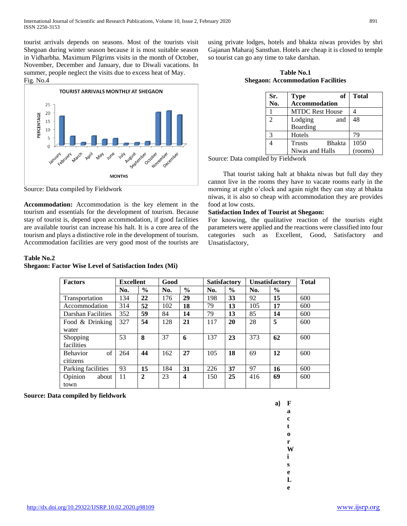tourist arrivals depends on seasons. Most of the tourists visit Shegoan during winter season because it is most suitable season in Vidharbha. Maximum Pilgrims visits in the month of October, November, December and January, due to Diwali vacations. In summer, people neglect the visits due to excess heat of May.

# Fig. No.4



Source: Data compiled by Fieldwork

**Accommodation:** Accommodation is the key element in the tourism and essentials for the development of tourism. Because stay of tourist is, depend upon accommodation, if good facilities are available tourist can increase his halt. It is a core area of the tourism and plays a distinctive role in the development of tourism. Accommodation facilities are very good most of the tourists are

# **Table No.2 Shegaon: Factor Wise Level of Satisfaction Index (Mi)**

using private lodges, hotels and bhakta niwas provides by shri Gajanan Maharaj Sansthan. Hotels are cheap it is closed to temple so tourist can go any time to take darshan.

**Table No.1 Shegaon: Accommodation Facilities**

| Sr. | of<br><b>Type</b>              | <b>Total</b> |
|-----|--------------------------------|--------------|
| No. | <b>Accommodation</b>           |              |
|     | <b>MTDC Rest House</b>         |              |
| 2   | Lodging<br>and                 | 48           |
|     | Boarding                       |              |
| 3   | Hotels                         | 79           |
|     | <b>Bhakta</b><br><b>Trusts</b> | 1050         |
|     | Niwas and Halls                | (rooms)      |

Source: Data compiled by Fieldwork

 That tourist taking halt at bhakta niwas but full day they cannot live in the rooms they have to vacate rooms early in the morning at eight o'clock and again night they can stay at bhakta niwas, it is also so cheap with accommodation they are provides food at low costs.

### **Satisfaction Index of Tourist at Shegaon:**

For knowing, the qualitative reaction of the tourists eight parameters were applied and the reactions were classified into four categories such as Excellent, Good, Satisfactory and Unsatisfactory,

| <b>Factors</b>        | <b>Excellent</b> |              | Good |               | <b>Satisfactory</b> |               | <b>Unsatisfactory</b> |               | <b>Total</b> |
|-----------------------|------------------|--------------|------|---------------|---------------------|---------------|-----------------------|---------------|--------------|
|                       | No.              | $\%$         | No.  | $\frac{0}{0}$ | No.                 | $\frac{0}{0}$ | No.                   | $\frac{0}{0}$ |              |
| Transportation        | 134              | 22           | 176  | 29            | 198                 | 33            | 92                    | 15            | 600          |
| Accommodation         | 314              | 52           | 102  | 18            | 79                  | 13            | 105                   | 17            | 600          |
| Darshan Facilities    | 352              | 59           | 84   | 14            | 79                  | 13            | 85                    | 14            | 600          |
| Food & Drinking       | 327              | 54           | 128  | 21            | 117                 | 20            | 28                    | 5             | 600          |
| water                 |                  |              |      |               |                     |               |                       |               |              |
| Shopping              | 53               | 8            | 37   | 6             | 137                 | 23            | 373                   | 62            | 600          |
| facilities            |                  |              |      |               |                     |               |                       |               |              |
| of<br><b>Behavior</b> | 264              | 44           | 162  | 27            | 105                 | 18            | 69                    | 12            | 600          |
| citizens              |                  |              |      |               |                     |               |                       |               |              |
| Parking facilities    | 93               | 15           | 184  | 31            | 226                 | 37            | 97                    | 16            | 600          |
| Opinion<br>about      | 11               | $\mathbf{2}$ | 23   | 4             | 150                 | 25            | 416                   | 69            | 600          |
| town                  |                  |              |      |               |                     |               |                       |               |              |

**Source: Data compiled by fieldwork**



**c**



**o**

**r** 

**W**

**i**

**s**

**e** 

**L**

**e**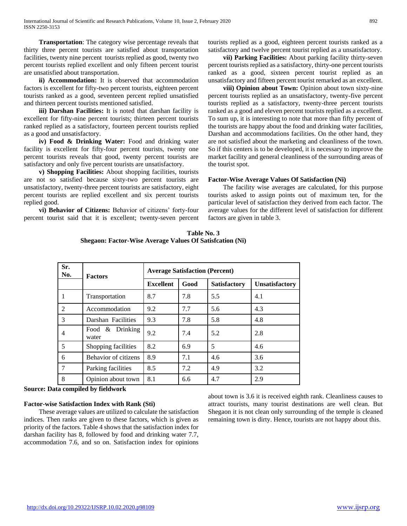**Transportation**: The category wise percentage reveals that thirty three percent tourists are satisfied about transportation facilities, twenty nine percent tourists replied as good, twenty two percent tourists replied excellent and only fifteen percent tourist are unsatisfied about transportation.

 **ii) Accommodation:** It is observed that accommodation factors is excellent for fifty-two percent tourists, eighteen percent tourists ranked as a good, seventeen percent replied unsatisfied and thirteen percent tourists mentioned satisfied.

 **iii) Darshan Facilities:** It is noted that darshan facility is excellent for fifty-nine percent tourists; thirteen percent tourists ranked replied as a satisfactory, fourteen percent tourists replied as a good and unsatisfactory.

 **iv) Food & Drinking Water:** Food and drinking water facility is excellent for fifty-four percent tourists, twenty one percent tourists reveals that good, twenty percent tourists are satisfactory and only five percent tourists are unsatisfactory.

 **v) Shopping Facilities:** About shopping facilities, tourists are not so satisfied because sixty-two percent tourists are unsatisfactory, twenty-three percent tourists are satisfactory, eight percent tourists are replied excellent and six percent tourists replied good.

 **vi) Behavior of Citizens:** Behavior of citizens' forty-four percent tourist said that it is excellent; twenty-seven percent tourists replied as a good, eighteen percent tourists ranked as a satisfactory and twelve percent tourist replied as a unsatisfactory.

 **vii) Parking Facilities:** About parking facility thirty-seven percent tourists replied as a satisfactory, thirty-one percent tourists ranked as a good, sixteen percent tourist replied as an unsatisfactory and fifteen percent tourist remarked as an excellent.

 **viii) Opinion about Town:** Opinion about town sixty-nine percent tourists replied as an unsatisfactory, twenty-five percent tourists replied as a satisfactory, twenty-three percent tourists ranked as a good and eleven percent tourists replied as a excellent. To sum up, it is interesting to note that more than fifty percent of the tourists are happy about the food and drinking water facilities, Darshan and accommodations facilities. On the other hand, they are not satisfied about the marketing and cleanliness of the town. So if this centers is to be developed, it is necessary to improve the market facility and general cleanliness of the surrounding areas of the tourist spot.

### **Factor-Wise Average Values Of Satisfaction (Ni)**

 The facility wise averages are calculated, for this purpose tourists asked to assign points out of maximum ten, for the particular level of satisfaction they derived from each factor. The average values for the different level of satisfaction for different factors are given in table 3.

|                                                          | Table No. 3 |  |  |
|----------------------------------------------------------|-------------|--|--|
| Shegaon: Factor-Wise Average Values Of Satisfcation (Ni) |             |  |  |

| Sr.<br>No.     | <b>Factors</b>           | <b>Average Satisfaction (Percent)</b> |      |                     |                       |  |
|----------------|--------------------------|---------------------------------------|------|---------------------|-----------------------|--|
|                |                          | <b>Excellent</b>                      | Good | <b>Satisfactory</b> | <b>Unsatisfactory</b> |  |
| 1              | Transportation           | 8.7                                   | 7.8  | 5.5                 | 4.1                   |  |
| 2              | Accommodation            | 9.2                                   | 7.7  | 5.6                 | 4.3                   |  |
| 3              | Darshan Facilities       | 9.3                                   | 7.8  | 5.8                 | 4.8                   |  |
| $\overline{4}$ | Food & Drinking<br>water | 9.2                                   | 7.4  | 5.2                 | 2.8                   |  |
| 5              | Shopping facilities      | 8.2                                   | 6.9  | 5                   | 4.6                   |  |
| 6              | Behavior of citizens     | 8.9                                   | 7.1  | 4.6                 | 3.6                   |  |
| 7              | Parking facilities       | 8.5                                   | 7.2  | 4.9                 | 3.2                   |  |
| 8              | Opinion about town       | 8.1                                   | 6.6  | 4.7                 | 2.9                   |  |

**Source: Data compiled by fieldwork**

# **Factor-wise Satisfaction Index with Rank (Sti)**

 These average values are utilized to calculate the satisfaction indices. Then ranks are given to these factors, which is given as priority of the factors. Table 4 shows that the satisfaction index for darshan facility has 8, followed by food and drinking water 7.7, accommodation 7.6, and so on. Satisfaction index for opinions

about town is 3.6 it is received eighth rank. Cleanliness causes to attract tourists, many tourist destinations are well clean. But Shegaon it is not clean only surrounding of the temple is cleaned remaining town is dirty. Hence, tourists are not happy about this.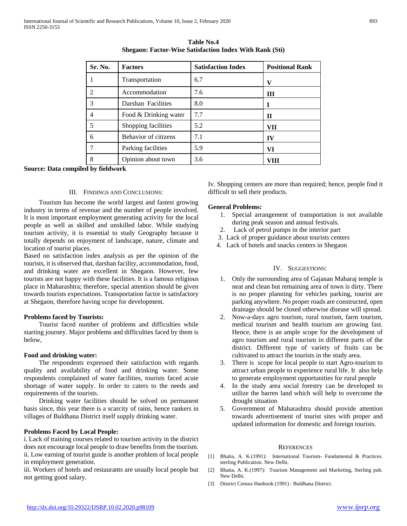| Sr. No. | <b>Factors</b>        | <b>Satisfaction Index</b> | <b>Positional Rank</b> |
|---------|-----------------------|---------------------------|------------------------|
|         | Transportation        | 6.7                       | v                      |
| っ       | Accommodation         | 7.6                       | Ш                      |
| 3       | Darshan Facilities    | 8.0                       |                        |
|         | Food & Drinking water | 7.7                       | П                      |
| 5       | Shopping facilities   | 5.2                       | VII                    |
| 6       | Behavior of citizens  | 7.1                       | IV                     |
|         | Parking facilities    | 5.9                       | VI                     |
| 8       | Opinion about town    | 3.6                       | VIII                   |

**Table No.4 Shegaon: Factor-Wise Satisfaction Index With Rank (Sti)**

**Source: Data compiled by fieldwork**

# III. FINDINGS AND CONCLUSIONS:

 Tourism has become the world largest and fastest growing industry in terms of revenue and the number of people involved. It is most important employment generating activity for the local people as well as skilled and unskilled labor. While studying tourism activity, it is essential to study Geography because it totally depends on enjoyment of landscape, nature, climate and location of tourist places.

Based on satisfaction index analysis as per the opinion of the tourists, it is observed that, darshan facility, accommodation, food, and drinking water are excellent in Shegaon. However, few tourists are not happy with these facilities. It is a famous religious place in Maharashtra; therefore, special attention should be given towards tourists expectations. Transportation factor is satisfactory at Shegaon, therefore having scope for development.

# **Problems faced by Tourists:**

 Tourist faced number of problems and difficulties while starting journey. Major problems and difficulties faced by them is below,

#### **Food and drinking water:**

 The respondents expressed their satisfaction with regards quality and availability of food and drinking water. Some respondents complained of water facilities, tourists faced acute shortage of water supply. In order to caters to the needs and requirements of the tourists.

 Drinking water facilities should be solved on permanent basis since, this year there is a scarcity of rains, hence rankers in villages of Buldhana District itself supply drinking water.

# **Problems Faced by Local People:**

i. Lack of training courses related to tourism activity in the district does not encourage local people to draw benefits from the tourism. ii. Low earning of tourist guide is another problem of local people in employment generation.

iii. Workers of hotels and restaurants are usually local people but not getting good salary.

Iv. Shopping centers are more than required; hence, people find it difficult to sell their products.

# **General Problems:**

- 1. Special arrangement of transportation is not available during peak season and annual festivals.
- 2. Lack of petrol pumps in the interior part
- 3. Lack of proper guidance about tourists centers
- 4. Lack of hotels and snacks centers in Shegaon

# IV. SUGGESTIONS:

- 1. Only the surrounding area of Gajanan Maharaj temple is neat and clean but remaining area of town is dirty. There is no proper planning for vehicles parking, tourist are parking anywhere. No proper roads are constructed, open drainage should be closed otherwise disease will spread.
- 2. Now-a-days agro tourism, rural tourism, farm tourism, medical tourism and health tourism are growing fast. Hence, there is an ample scope for the development of agro tourism and rural tourism in different parts of the district. Different type of variety of fruits can be cultivated to attract the tourists in the study area.
- 3. There is scope for local people to start Agro-tourism to attract urban people to experience rural life. It also help to generate employment opportunities for rural people
- 4. In the study area social forestry can be developed to utilize the barren land which will help to overcome the drought situation
- 5. Government of Maharashtra should provide attention towards advertisement of tourist sites with proper and updated information for domestic and foreign tourists.

#### **REFERENCES**

- [1] Bhatia, A. K.(1991): International Tourism- Fundamental & Practices. sterling Publication. New Delhi.
- [2] Bhatia, A. K.(1997): Tourism Management and Marketing, Sterling pub. New Delhi.
- [3] District Census Hanbook (1991) : Buldhana District.